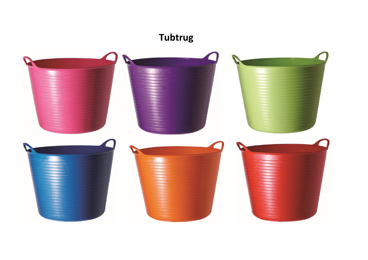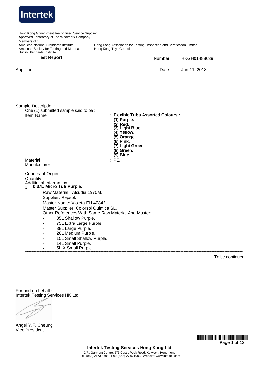

Hong Kong Government Recognized Service Supplier Approved Laboratory of The Woolmark Company Members of : American National Standards Institute American Society for Testing and Materials British Standards Institute Hong Kong Association for Testing, Inspection and Certification Limited Hong Kong Toys Council **Test Report** Number: Date: HKGH01488639 Applicant: Date: Jun 11, 2013 Sample Description: One (1) submitted sample said to be :  $:$  **Flexible Tubs Assorted Colours**: **(1) Purple. (2) Red. (3) Light Blue. (4) Yellow. (5) Orange. (6) Pink. (7) Light Green. (8) Green. (9) Blue.** Material : PE. Manufacturer Country of Origin **Quantity** Additional Information 1. **0,37L Micro Tub Purple.** Raw Material : Alcudia 1970M. Supplier: Repsol. Master Name: Violeta EH 40842. Master Supplier: Colorsol Quimica SL. Other References With Same Raw Material And Master: - - - - - - .<br>منابع المنابع المنابع المنابع المنابع المنابع المنابع المنابع المنابع المنابع المنابع المنابع المنابع المنابع 35L Shallow Purple. 75L Extra Large Purple. 38L Large Purple. 26L Medium Purple. 15L Small Shallow Purple. 14L Small Purple. 5L X-Small Purple. \*\*\*\*\*\*\*\*\*\*\*\*\*\*\*\*\*\*\*\*\*\*\*\*\*\*\*\*\*\*\*\*\*\*\*\*\*\*\*\*\*\*\*\*\*\*\*\*\*\*\*\*\*\*\*\*\*\*\*\*\*\*\*\*\*\*\*\*\*\*\*\*\*\*\*\*\*\*\*\*\*\*\*\*\*\*\*\*\*\*\*\*\*\*\*\*\*\*\*\*\*\*\*\*\*\*\*\*\*\*\*\*\*\*\*\*\*\*\*\*\*\*\*\*\*\*\*\*\*\*\*\*\* To be continued

For and on behalf of : Intertek Testing Services HK Ltd.

Angel Y.F. Cheung Vice President

\*HJ01488639\* Page 1 of 12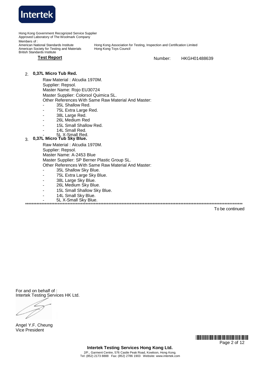

**Test Report** Number: HKGH01488639

## 2. **0,37L Micro Tub Red.**

Raw Material : Alcudia 1970M. Supplier: Repsol. Master Name: Rojo EU30724 Master Supplier: Colorsol Quimica SL. Other References With Same Raw Material And Master: - 35L Shallow Red.

- 75L Extra Large Red.
- 38L Large Red.
- - 26L Medium Red
- 15L Small Shallow Red.
- 14L Small Red.
- <u>. .</u> 5L X-Small Red.

# 3. **0,37L Micro Tub Sky Blue.**

-

Raw Material : Alcudia 1970M. Supplier: Repsol. Master Name: A-2453 Blue Master Supplier: SP Berner Plastic Group SL. Other References With Same Raw Material And Master:

- 35L Shallow Sky Blue.
- 75L Extra Large Sky Blue.
- 38L Large Sky Blue.
- 26L Medium Sky Blue.
- 15L Small Shallow Sky Blue.
- 14L Small Sky Blue.

- 5L X-Small Sky Blue. \*\*\*\*\*\*\*\*\*\*\*\*\*\*\*\*\*\*\*\*\*\*\*\*\*\*\*\*\*\*\*\*\*\*\*\*\*\*\*\*\*\*\*\*\*\*\*\*\*\*\*\*\*\*\*\*\*\*\*\*\*\*\*\*\*\*\*\*\*\*\*\*\*\*\*\*\*\*\*\*\*\*\*\*\*\*\*\*\*\*\*\*\*\*\*\*\*\*\*\*\*\*\*\*\*\*\*\*\*\*\*\*\*\*\*\*\*\*\*\*\*\*\*\*\*\*\*\*\*\*\*\*\*

To be continued

For and on behalf of : Intertek Testing Services HK Ltd.

Angel Y.F. Cheung Vice President

> \*HJ01488639\* Page 2 of 12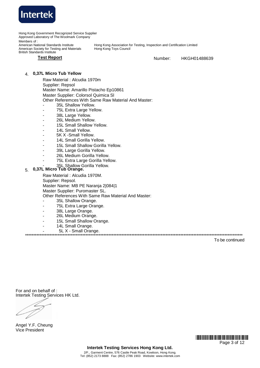

**Test Report** Number: HKGH01488639

## 4. **0,37L Micro Tub Yellow**

Raw Material : Alcudia 1970m Supplier: Repsol Master Name: Amarillo Pistacho Ep10861

Master Supplier: Colorsol Quimica Sl

Other Referemces With Same Raw Material And Master:

- 35L Shallow Yellow.
- 75L Extra Large Yellow.
- 38L Large Yellow.
- 26L Medium Yellow.
- 15L Small Shallow Yellow.
- 14L Small Yellow.
- 5K X -Small Yellow.
- 14L Small Gorilla Yellow.
- 15L Small Shallow Gorilla Yellow.
- 39L Large Gorilla Yellow.
- 26L Medium Gorilla Yellow.
- 75L Extra Large Gorilla Yellow.
- - ... 35L Shallow Gorilla Yellow.

# 5. **0,37L Micro Tub Orange.**

Raw Material : Alcudia 1970M. Supplier: Repsol.

Master Name: MB PE Naranja 2|084|1

Master Supplier: Puromaster SL.

Other References With Same Raw Material And Master:

- 35L Shallow Orange.
- 75L Extra Large Orange.
- 38L Large Orange.
- 26L Medium Orange.
- 15L Small Shallow Orange.
- 14L Small Orange.
- 5L X - Small Orange.

\*\*\*\*\*\*\*\*\*\*\*\*\*\*\*\*\*\*\*\*\*\*\*\*\*\*\*\*\*\*\*\*\*\*\*\*\*\*\*\*\*\*\*\*\*\*\*\*\*\*\*\*\*\*\*\*\*\*\*\*\*\*\*\*\*\*\*\*\*\*\*\*\*\*\*\*\*\*\*\*\*\*\*\*\*\*\*\*\*\*\*\*\*\*\*\*\*\*\*\*\*\*\*\*\*\*\*\*\*\*\*\*\*\*\*\*\*\*\*\*\*\*\*\*\*\*\*\*\*\*\*\*\*

To be continued

For and on behalf of : Intertek Testing Services HK Ltd.

Angel Y.F. Cheung Vice President

> \*HJ01488639\* Page 3 of 12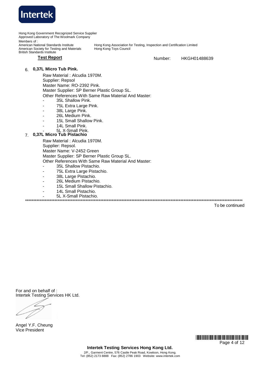

# 6. **0,37L Micro Tub Pink.**

Raw Material : Alcudia 1970M.

- Supplier: Repsol
- Master Name: RO-2392 Pink.

Master Supplier: SP Berner Plastic Group SL.

Other References With Same Raw Material And Master:

- 35L Shallow Pink.
- 75L Extra Large Pink.
- 38L Large Pink.
- 26L Medium Pink.
- 15L Small Shallow Pink.
- 14L Small Pink.
- <sub>- -</sub> 5L X-Small Pink.
- 7. **0,37L Micro Tub Pistachio**

Raw Material : Alcudia 1970M.

Supplier: Repsol.

Master Name: V-2452 Green

Master Supplier: SP Berner Plastic Group SL.

Other References With Same Raw Material And Master:

- 35L Shallow Pistachio.
- 75L Extra Large Pistachio.
- 38L Large Pistachio.
- 26L Medium Pistachio.
- 15L Small Shallow Pistachio.
- 14L Small Pistachio.
- 5L X-Small Pistachio.

\*\*\*\*\*\*\*\*\*\*\*\*\*\*\*\*\*\*\*\*\*\*\*\*\*\*\*\*\*\*\*\*\*\*\*\*\*\*\*\*\*\*\*\*\*\*\*\*\*\*\*\*\*\*\*\*\*\*\*\*\*\*\*\*\*\*\*\*\*\*\*\*\*\*\*\*\*\*\*\*\*\*\*\*\*\*\*\*\*\*\*\*\*\*\*\*\*\*\*\*\*\*\*\*\*\*\*\*\*\*\*\*\*\*\*\*\*\*\*\*\*\*\*\*\*\*\*\*\*\*\*\*\*

To be continued

For and on behalf of : Intertek Testing Services HK Ltd.

Angel Y.F. Cheung Vice President

> \*HJ01488639\* Page 4 of 12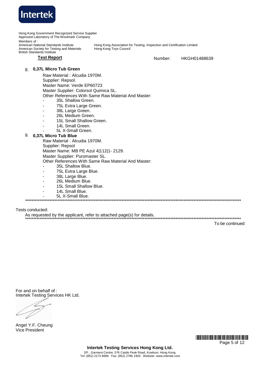

Hong Kong Government Recognized Service Supplier Approved Laboratory of The Woolmark Company Members of: American National Standards Institute<br>American Society for Testing and Materials Hong Kong Association for Testing, Inspection and Certification Limited Hong Kong Toys Council **British Standards Institute Test Report** Number: HKGH01488639 8. 0,37L Micro Tub Green Raw Material: Alcudia 1970M. Supplier: Repsol. Master Name: Verde EP60723 Master Supplier: Colorsol Quimica SL. Other References With Same Raw Material And Master: 35L Shallow Green. 75L Extra Large Green. 38L Large Green. 26L Medium Green. 15L Small Shallow Green. 14L Small Green. 5L X-Small Green. 9. 0,37L Micro Tub Blue Raw Material : Alcudia 1970M. Supplier: Repsol Master Name: MB PE Azul 4|112|1-2129. Master Supplier: Puromaster SL. Other References With Same Raw Material And Master: 35L Shallow Blue 75L Extra Large Blue. 38L Large Blue.  $\overline{a}$ 26L Medium Blue.  $\overline{a}$ 15L Small Shallow Blue. 14L Small Blue. 5L X-Small Blue. Tests conducted:

As requested by the applicant, refer to attached page(s) for details.

To be continued

For and on behalf of: Intertek Testing Services HK Ltd.

Angel Y.F. Cheung **Vice President** 

> **THE REAL PROPERTY AND THE REAL PROPERTY AND THE REAL PROPERTY.** Page 5 of 12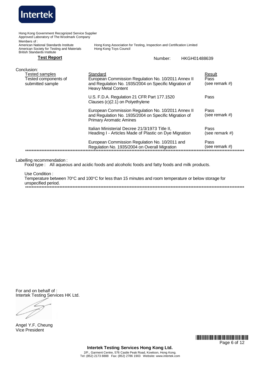

Hong Kong Government Recognized Service Supplier Approved Laboratory of The Woolmark Company Members of: American National Standards Institute<br>American Society for Testing and Materials Hong Kong Association for Testing, Inspection and Certification Limited Hong Kong Toys Council **British Standards Institute Test Report** Number: HKGH01488639 Conclusion: **Tested samples** Standard Result Tested components of European Commission Regulation No. 10/2011 Annex II Pass submitted sample and Regulation No. 1935/2004 on Specific Migration of (see remark #) **Heavy Metal Content** U.S. F.D.A. Regulation 21 CFR Part 177.1520 Pass Clauses  $(c)(2.1)$  on Polyethylene European Commission Regulation No. 10/2011 Annex II Pass and Regulation No. 1935/2004 on Specific Migration of (see remark #) **Primary Aromatic Amines** Italian Ministerial Decree 21/3/1973 Title II, Pass Heading I - Articles Made of Plastic on Dye Migration (see remark #) European Commission Regulation No. 10/2011 and Pass Regulation No. 1935/2004 on Overall Migration (see remark  $#$ )

Labelling recommendation:

Food type: All aqueous and acidic foods and alcoholic foods and fatty foods and milk products.

Use Condition:

Temperature between 70°C and 100°C for less than 15 minutes and room temperature or below storage for unspecified period. 

For and on behalf of: Intertek Testing Services HK Ltd.

Angel Y.F. Cheung **Vice President** 

> **THE REAL PROPERTY AND THE REAL PROPERTY AND THE REAL PROPERTY.** Page 6 of 12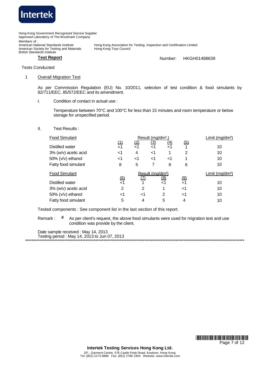

Hong Kong Government Recognized Service Supplier Approved Laboratory of The Woolmark Company Members of: American National Standards Institute<br>American Society for Testing and Materials Hong Kong Association for Testing, Inspection and Certification Limited Hong Kong Toys Council **British Standards Institute Test Report** 

HKGH01488639 Number:

**Tests Conducted** 

#### $\mathbf{1}$ **Overall Migration Test**

As per Commission Regulation (EU) No. 10/2011, selection of test condition & food simulants by 82/711/EEC, 85/572/EEC and its amendment.

I. Condition of contact in actual use :

> Temperature between 70°C and 100°C for less than 15 minutes and room temperature or below storage for unspecified period.

Test Results:  $II.$ 

| <b>Food Simulant</b> | Result (mg/dm <sup>2</sup> ,) |           |            |            |               | Limit ( $mg/dm^2$ )         |
|----------------------|-------------------------------|-----------|------------|------------|---------------|-----------------------------|
|                      | <u>(1)</u>                    | <u>(2</u> | <u>(3)</u> | (4)        | <u>(5)</u>    |                             |
| Distilled water      | ا>                            | ا >       | $<$ 1      |            |               | 10                          |
| 3% (w/v) acetic acid | <1                            | 4         | <1         |            | 2             | 10                          |
| 50% (v/v) ethanol    | ا>                            | ا>        | <1         | <1         |               | 10                          |
| Fatty food simulant  | 8                             | 5         | 7          | 8          | 6             | 10                          |
|                      | Result (mg/dm <sup>2</sup> )  |           |            |            |               |                             |
| <b>Food Simulant</b> |                               |           |            |            |               | Limit (mg/dm <sup>2</sup> ) |
|                      |                               |           |            |            |               |                             |
| Distilled water      | $\frac{(6)}{5}$               |           |            | <u>(8)</u> | $\frac{9}{1}$ | 10                          |
| 3% (w/v) acetic acid | $\overline{2}$                | 2         |            | 1          | ا>            | 10                          |
| 50% (v/v) ethanol    | <1                            | ا>        |            | 2          | ا>            | 10                          |

Tested components : See component list in the last section of this report.

# Remark: As per client's request, the above food simulants were used for migration test and use condition was provide by the client.

Date sample received : May 14, 2013 Testing period: May 14, 2013 to Jun 07, 2013

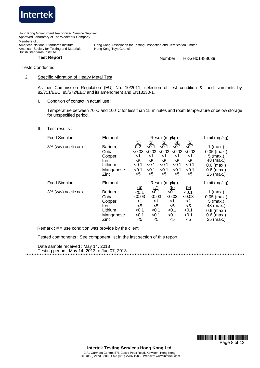

Tests Conducted

### 2 Specific Migration of Heavy Metal Test

As per Commission Regulation (EU) No. 10/2011, selection of test condition & food simulants by 82/711/EEC, 85/572/EEC and its amendment and EN13130-1.

I. Condition of contact in actual use :

Temperature between 70°C and 100°C for less than 15 minutes and room temperature or below storage for unspecified period.

II. Test results :

| <b>Food Simulant</b> | Element                                                                    | Result (mg/kg)                                                        |                                                               |                                                                     |                                                                      |                                                            | Limit (mg/kg)                                                                                       |
|----------------------|----------------------------------------------------------------------------|-----------------------------------------------------------------------|---------------------------------------------------------------|---------------------------------------------------------------------|----------------------------------------------------------------------|------------------------------------------------------------|-----------------------------------------------------------------------------------------------------|
| 3% (w/v) acetic acid | <b>Barium</b><br>Cobalt<br>Copper<br>Iron.<br>Lithium<br>Manganese<br>Zinc | <u>(1)</u><br>0.2<br>< 0.03<br>ا><br>$<$ 5<br>< 0.1<br>< 0.1<br>$<$ 5 | (2)<br>< 0.1<br>< 0.03<br>-1<br>$<$ 5<br>< 0.1<br>< 0.1<br><5 | (3)<br>< 0.1<br>< 0.03<br>$<$ 1<br>$<$ 5<br>< 0.1<br>< 0.1<br>$<$ 5 | <u>(4)</u><br>< 0.1<br>< 0.03<br><1<br>$<$ 5<br>< 0.1<br>< 0.1<br><5 | (5)<br>< 0.1<br>< 0.03<br><1<br><5<br>< 0.1<br>< 0.1<br><5 | $1$ (max.)<br>$0.05$ (max.)<br>$5$ (max.)<br>48 (max.)<br>$0.6$ (max.)<br>$0.6$ (max.)<br>25 (max.) |
| <b>Food Simulant</b> | Element                                                                    | <u>(6)</u>                                                            | 坕                                                             | Result (mg/kg)                                                      | <u>(8)</u>                                                           | <u>(9)</u>                                                 | Limit (mg/kg)                                                                                       |
| 3% (w/v) acetic acid | Barium<br>Cobalt<br>Copper<br>Iron.<br>Lithium<br>Manganese                | < 0.1<br>< 0.03<br><1<br><5<br>< 0.1<br>< 0.1                         | < 0.1<br>< 0.03<br>$<$ 1<br>$5$<br>< 0.1<br>< 0.1             |                                                                     | < 0.1<br>< 0.03<br>$<$ 1<br>$<$ 5<br>< 0.1<br>< 0.1                  | < 0.1<br>< 0.03<br><1<br><5<br>< 0.1<br>< 0.1              | 1 (max.)<br>$0.05$ (max.)<br>$5$ (max.)<br>48 (max.)<br>$0.6$ (max.)<br>$0.6$ (max.)<br>25 (max.)   |

Remark :  $# =$  use condition was provide by the client.

Tested components : See component list in the last section of this report.

Date sample received : May 14, 2013 Testing period : May 14, 2013 to Jun 07, 2013 \*\*\*\*\*\*\*\*\*\*\*\*\*\*\*\*\*\*\*\*\*\*\*\*\*\*\*\*\*\*\*\*\*\*\*\*\*\*\*\*\*\*\*\*\*\*\*\*\*\*\*\*\*\*\*\*\*\*\*\*\*\*\*\*\*\*\*\*\*\*\*\*\*\*\*\*\*\*\*\*\*\*\*\*\*\*\*\*\*\*\*\*\*\*\*\*\*\*\*\*\*\*\*\*\*\*\*\*\*\*\*\*\*\*\*\*\*\*\*\*\*\*\*\*\*\*\*\*\*\*\*\*\*\*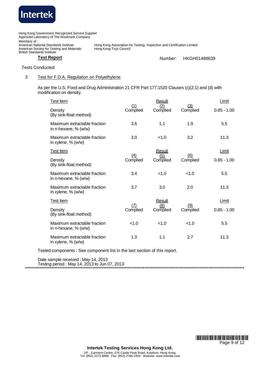

Tests Conducted

## 3 Test for F.D.A. Regulation on Polyethylene

As per the U.S. Food and Drug Administration 21 CFR Part 177.1520 Clauses (c)(2.1) and (d) with modification on density.

| Test item                                            |                 | Result          |                 | Limit         |
|------------------------------------------------------|-----------------|-----------------|-----------------|---------------|
| Density<br>(By sink-float method)                    | (1)<br>Complied | (2)<br>Complied | (3)<br>Complied | $0.85 - 1.00$ |
| Maximum extractable fraction<br>in n-hexane, % (w/w) | 3.6             | 1.1             | 1.9             | 5.5           |
| Maximum extractable fraction<br>in xylene, % (w/w)   | 3.0             | < 1.0           | 3.2             | 11.3          |
| Test item                                            |                 | Result          |                 | Limit         |
| Density<br>(By sink-float method)                    | (4)<br>Complied | (5)<br>Complied | (6)<br>Complied | $0.85 - 1.00$ |
| Maximum extractable fraction<br>in n-hexane, % (w/w) | 3.4             | < 1.0           | < 1.0           | 5.5           |
| Maximum extractable fraction<br>in xylene, % (w/w)   | 3.7             | 3.0             | 2.0             | 11.3          |
| Test item                                            | (7)             | Result          |                 | Limit         |
| Density<br>(By sink-float method)                    | Complied        | (8)<br>Complied | (9)<br>Complied | $0.85 - 1.00$ |
| Maximum extractable fraction<br>in n-hexane, % (w/w) | < 1.0           | < 1.0           | < 1.0           | 5.5           |
| Maximum extractable fraction<br>in xylene, % (w/w)   | 1.3             | 1.1             | 2.7             | 11.3          |

Tested components : See component list in the last section of this report.

Date sample received : May 14, 2013 Testing period : May 14, 2013 to Jun 07, 2013 \*\*\*\*\*\*\*\*\*\*\*\*\*\*\*\*\*\*\*\*\*\*\*\*\*\*\*\*\*\*\*\*\*\*\*\*\*\*\*\*\*\*\*\*\*\*\*\*\*\*\*\*\*\*\*\*\*\*\*\*\*\*\*\*\*\*\*\*\*\*\*\*\*\*\*\*\*\*\*\*\*\*\*\*\*\*\*\*\*\*\*\*\*\*\*\*\*\*\*\*\*\*\*\*\*\*\*\*\*\*\*\*\*\*\*\*\*\*\*\*\*\*\*\*\*\*\*\*\*\*\*\*\*\*

> \*HJ01488639\* Page 9 of 12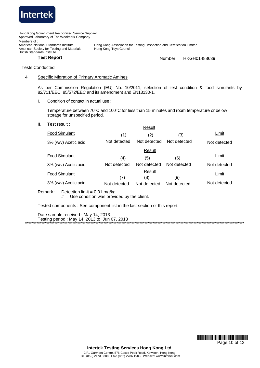

Tests Conducted

### 4 Specific Migration of Primary Aromatic Amines

As per Commission Regulation (EU) No. 10/2011, selection of test condition & food simulants by 82/711/EEC, 85/572/EEC and its amendment and EN13130-1.

I. Condition of contact in actual use :

Temperature between 70°C and 100°C for less than 15 minutes and room temperature or below storage for unspecified period.

II. Test result :

|                                                                                               |              | Result        |              |              |  |  |  |  |
|-----------------------------------------------------------------------------------------------|--------------|---------------|--------------|--------------|--|--|--|--|
| <b>Food Simulant</b>                                                                          | (1)          | (2)           | (3)          | Limit        |  |  |  |  |
| 3% (w/v) Acetic acid                                                                          | Not detected | Not detected  | Not detected | Not detected |  |  |  |  |
|                                                                                               |              | Result        |              |              |  |  |  |  |
| <b>Food Simulant</b>                                                                          | (4)          | (5)           | (6)          | Limit        |  |  |  |  |
| 3% (w/v) Acetic acid                                                                          | Not detected | Not detected  | Not detected | Not detected |  |  |  |  |
| <b>Food Simulant</b>                                                                          | (7)          | Result<br>(8) | (9)          | Limit        |  |  |  |  |
| 3% (w/v) Acetic acid                                                                          | Not detected | Not detected  | Not detected | Not detected |  |  |  |  |
| Remark :<br>Detection limit = $0.01$ mg/kg<br>$#$ = Use condition was provided by the client. |              |               |              |              |  |  |  |  |
| Tested components : See component list in the last section of this report.                    |              |               |              |              |  |  |  |  |

Date sample received : May 14, 2013 Testing period : May 14, 2013 to Jun 07, 2013 \*\*\*\*\*\*\*\*\*\*\*\*\*\*\*\*\*\*\*\*\*\*\*\*\*\*\*\*\*\*\*\*\*\*\*\*\*\*\*\*\*\*\*\*\*\*\*\*\*\*\*\*\*\*\*\*\*\*\*\*\*\*\*\*\*\*\*\*\*\*\*\*\*\*\*\*\*\*\*\*\*\*\*\*\*\*\*\*\*\*\*\*\*\*\*\*\*\*\*\*\*\*\*\*\*\*\*\*\*\*\*\*\*\*\*\*\*\*\*\*\*\*\*\*\*\*\*\*\*\*\*\*\*\*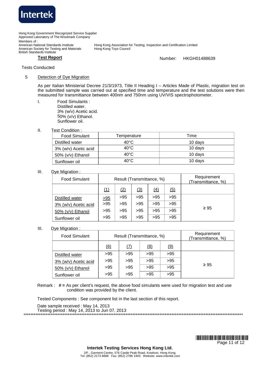

### Tests Conducted

#### 5 Detection of Dye Migration

As per Italian Ministerial Decree 21/3/1973, Title II Heading I – Articles Made of Plastic, migration test on the submitted sample was carried out at specified time and temperature and the test solutions were then measured for transmittance between 400nm and 750nm using UV/VIS spectrophotometer.

I. Food Simulants : Distilled water. 3% (w/v) Acetic acid. 50% (v/v) Ethanol. Sunflower oil.

II. Test Condition :

| <b>Food Simulant</b>     | Temperature    | Time    |
|--------------------------|----------------|---------|
| Distilled water          | $40^{\circ}$ C | 10 days |
| 3% (w/v) Acetic acid     | $40^{\circ}$ C | 10 days |
| $50\%$ ( $v/v$ ) Ethanol | $40^{\circ}$ C | 10 days |
| Sunflower oil            | $40^{\circ}$ C | 10 days |

#### III. Dve Migration :

| <b>Food Simulant</b> |      | Result (Transmittance, %) |     | Requirement<br>(Transmittance, %) |     |           |
|----------------------|------|---------------------------|-----|-----------------------------------|-----|-----------|
|                      | (1)  | (2)                       | (3) | (4)                               | (5) |           |
| Distilled water      | > 95 | >95                       | >95 | >95                               | >95 |           |
| 3% (w/v) Acetic acid | >95  | >95                       | >95 | >95                               | >95 |           |
| 50% (v/v) Ethanol    | >95  | >95                       | >95 | >95                               | >95 | $\geq 95$ |
| Sunflower oil        | >95  | >95                       | >95 | >95                               | >95 |           |

#### III. Dye Migration :

| <b>Food Simulant</b> |     | Result (Transmittance, %) | Requirement<br>(Transmittance, %) |     |           |
|----------------------|-----|---------------------------|-----------------------------------|-----|-----------|
|                      | (6) | (7)                       | (8)                               | (9) |           |
| Distilled water      | >95 | >95                       | >95                               | >95 |           |
| 3% (w/v) Acetic acid | >95 | >95                       | >95                               | >95 |           |
| 50% (v/v) Ethanol    | >95 | >95                       | >95                               | >95 | $\geq 95$ |
| Sunflower oil        | >95 | >95                       | >95                               | >95 |           |

Remark : **# =** As per client's request, the above food simulants were used for migration test and use condition was provided by the client.

Tested Components : See component list in the last section of this report.

Date sample received : May 14, 2013 Testing period : May 14, 2013 to Jun 07, 2013 \*\*\*\*\*\*\*\*\*\*\*\*\*\*\*\*\*\*\*\*\*\*\*\*\*\*\*\*\*\*\*\*\*\*\*\*\*\*\*\*\*\*\*\*\*\*\*\*\*\*\*\*\*\*\*\*\*\*\*\*\*\*\*\*\*\*\*\*\*\*\*\*\*\*\*\*\*\*\*\*\*\*\*\*\*\*\*\*\*\*\*\*\*\*\*\*\*\*\*\*\*\*\*\*\*\*\*\*\*\*\*\*\*\*\*\*\*\*\*\*\*\*\*\*\*\*\*\*\*